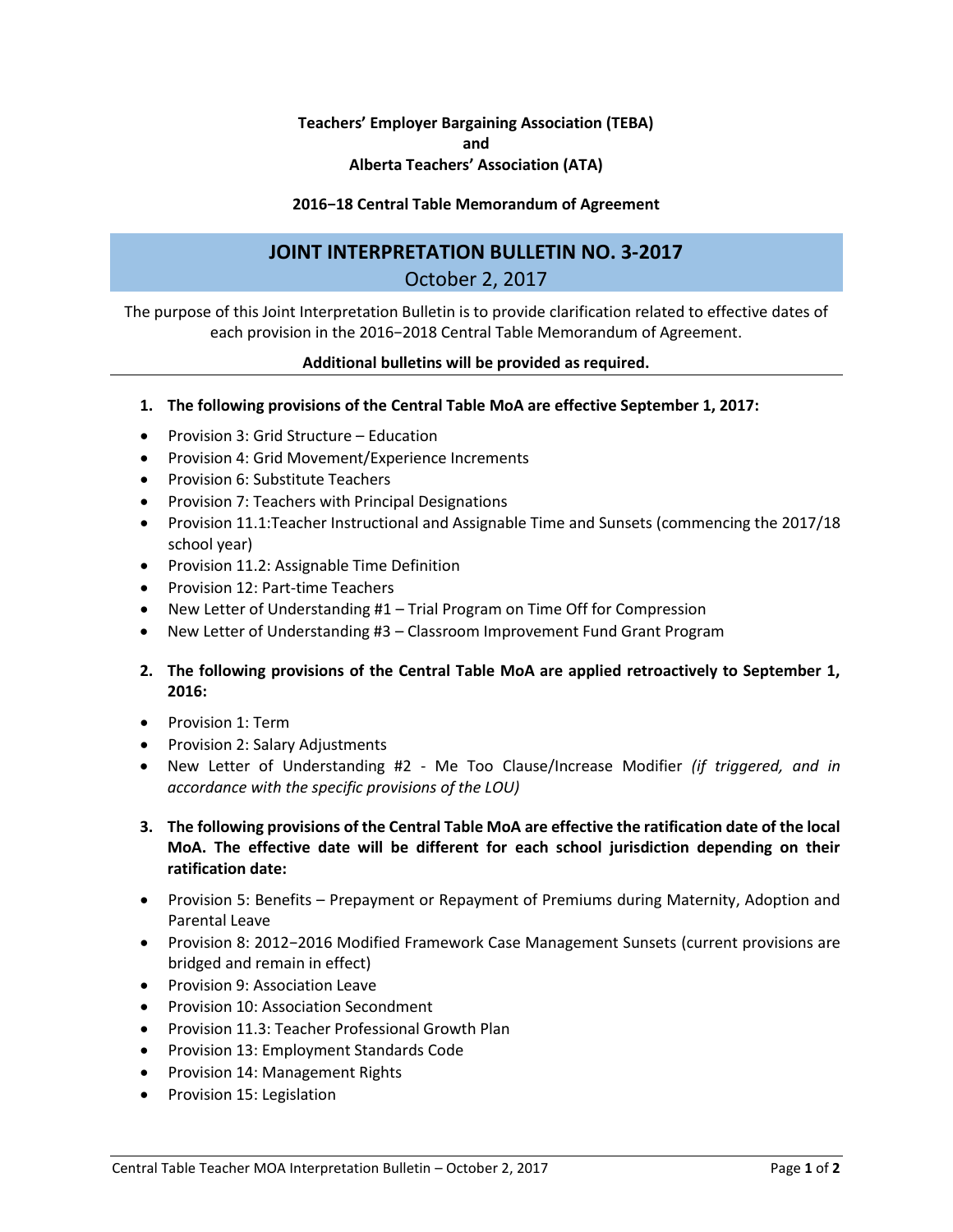## **Teachers' Employer Bargaining Association (TEBA) and Alberta Teachers' Association (ATA)**

## **2016−18 Central Table Memorandum of Agreement**

## **JOINT INTERPRETATION BULLETIN NO. 3-2017** October 2, 2017

The purpose of this Joint Interpretation Bulletin is to provide clarification related to effective dates of each provision in the 2016−2018 Central Table Memorandum of Agreement.

**Additional bulletins will be provided as required.**

- **1. The following provisions of the Central Table MoA are effective September 1, 2017:**
- Provision 3: Grid Structure Education
- Provision 4: Grid Movement/Experience Increments
- Provision 6: Substitute Teachers
- Provision 7: Teachers with Principal Designations
- Provision 11.1:Teacher Instructional and Assignable Time and Sunsets (commencing the 2017/18 school year)
- Provision 11.2: Assignable Time Definition
- Provision 12: Part-time Teachers
- New Letter of Understanding #1 Trial Program on Time Off for Compression
- New Letter of Understanding #3 Classroom Improvement Fund Grant Program
- **2. The following provisions of the Central Table MoA are applied retroactively to September 1, 2016:**
- Provision 1: Term
- Provision 2: Salary Adjustments
- New Letter of Understanding #2 Me Too Clause/Increase Modifier *(if triggered, and in accordance with the specific provisions of the LOU)*
- **3. The following provisions of the Central Table MoA are effective the ratification date of the local MoA. The effective date will be different for each school jurisdiction depending on their ratification date:**
- Provision 5: Benefits Prepayment or Repayment of Premiums during Maternity, Adoption and Parental Leave
- Provision 8: 2012−2016 Modified Framework Case Management Sunsets (current provisions are bridged and remain in effect)
- **•** Provision 9: Association Leave
- **•** Provision 10: Association Secondment
- Provision 11.3: Teacher Professional Growth Plan
- Provision 13: Employment Standards Code
- Provision 14: Management Rights
- Provision 15: Legislation